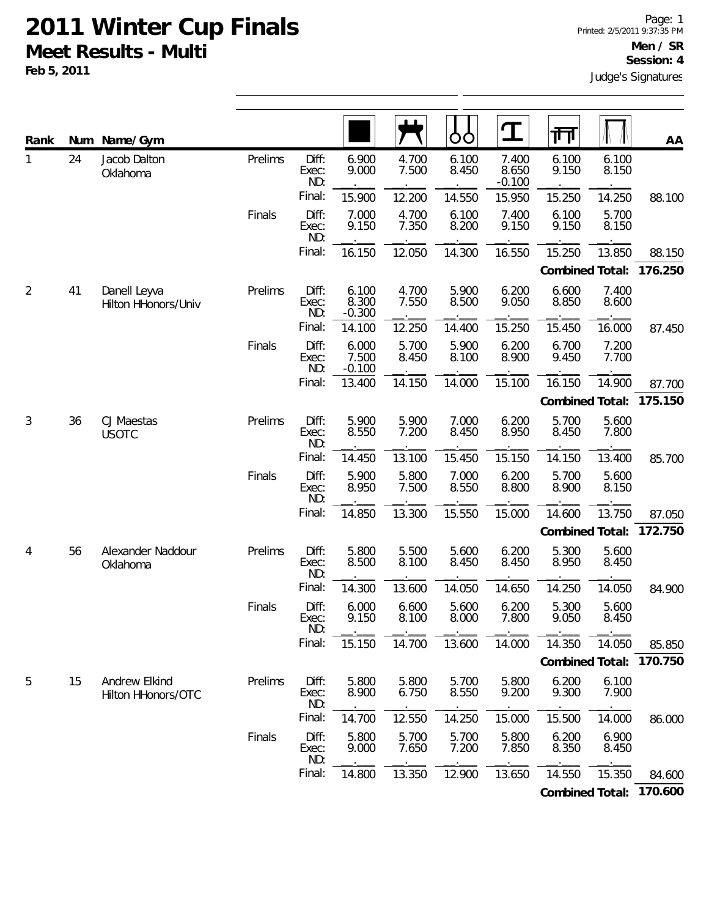**Feb 5, 2011**

| Rank | Num | Name/Gym                            |         |                       |                            |                | Ò<br>O         | $\mathbf T$                | 帀               |                | AA      |
|------|-----|-------------------------------------|---------|-----------------------|----------------------------|----------------|----------------|----------------------------|-----------------|----------------|---------|
| 1    | 24  | Jacob Dalton<br>Oklahoma            | Prelims | Diff:<br>Exec:<br>ND: | 6.900<br>9.000             | 4.700<br>7.500 | 6.100<br>8.450 | 7.400<br>8.650<br>$-0.100$ | 6.100<br>9.150  | 6.100<br>8.150 |         |
|      |     |                                     |         | Final:                | 15.900                     | 12.200         | 14.550         | 15.950                     | 15.250          | 14.250         | 88.100  |
|      |     |                                     | Finals  | Diff:<br>Exec:<br>ND: | 7.000<br>9.150             | 4.700<br>7.350 | 6.100<br>8.200 | 7.400<br>9.150             | 6.100<br>9.150  | 5.700<br>8.150 |         |
|      |     |                                     |         | Final:                | 16.150                     | 12.050         | 14.300         | 16.550                     | 15.250          | 13.850         | 88.150  |
|      |     |                                     |         |                       |                            |                |                |                            | Combined Total: |                | 176.250 |
| 2    | 41  | Danell Leyva<br>Hilton HHonors/Univ | Prelims | Diff:<br>Exec:<br>ND: | 6.100<br>8.300<br>$-0.300$ | 4.700<br>7.550 | 5.900<br>8.500 | 6.200<br>9.050             | 6.600<br>8.850  | 7.400<br>8.600 |         |
|      |     |                                     |         | Final:                | 14.100                     | 12.250         | 14.400         | 15.250                     | 15.450          | 16.000         | 87.450  |
|      |     |                                     | Finals  | Diff:<br>Exec:<br>ND: | 6.000<br>7.500<br>$-0.100$ | 5.700<br>8.450 | 5.900<br>8.100 | 6.200<br>8.900             | 6.700<br>9.450  | 7.200<br>7.700 |         |
|      |     |                                     |         | Final:                | 13.400                     | 14.150         | 14.000         | 15.100                     | 16.150          | 14.900         | 87.700  |
|      |     |                                     |         |                       |                            |                |                |                            | Combined Total: |                | 175.150 |
| 3    | 36  | CJ Maestas<br><b>USOTC</b>          | Prelims | Diff:<br>Exec:<br>ND: | 5.900<br>8.550             | 5.900<br>7.200 | 7.000<br>8.450 | 6.200<br>8.950             | 5.700<br>8.450  | 5.600<br>7.800 |         |
|      |     |                                     |         | Final:                | 14.450                     | 13.100         | 15.450         | 15.150                     | 14.150          | 13.400         | 85.700  |
|      |     |                                     | Finals  | Diff:<br>Exec:<br>ND: | 5.900<br>8.950             | 5.800<br>7.500 | 7.000<br>8.550 | 6.200<br>8.800             | 5.700<br>8.900  | 5.600<br>8.150 |         |
|      |     |                                     |         | Final:                | 14.850                     | 13.300         | 15.550         | 15.000                     | 14.600          | 13.750         | 87.050  |
|      |     |                                     |         |                       |                            |                |                |                            | Combined Total: |                | 172.750 |
| 4    | 56  | Alexander Naddour<br>Oklahoma       | Prelims | Diff:<br>Exec:<br>ND: | 5.800<br>8.500             | 5.500<br>8.100 | 5.600<br>8.450 | 6.200<br>8.450             | 5.300<br>8.950  | 5.600<br>8.450 |         |
|      |     |                                     |         | Final:                | 14.300                     | 13.600         | 14.050         | 14.650                     | 14.250          | 14.050         | 84.900  |
|      |     |                                     | Finals  | Diff:<br>Exec:<br>ND: | 6.000<br>9.150             | 6.600<br>8.100 | 5.600<br>8.000 | 6.200<br>7.800             | 5.300<br>9.050  | 5.600<br>8.450 |         |
|      |     |                                     |         | Final:                | 15.150                     | 14.700         | 13.600         | 14.000                     | 14.350          | 14.050         | 85.850  |
|      |     |                                     |         |                       |                            |                |                |                            | Combined Total: |                | 170.750 |
| 5    | 15  | Andrew Elkind<br>Hilton HHonors/OTC | Prelims | Diff:<br>Exec:<br>ND: | 5.800<br>8.900             | 5.800<br>6.750 | 5.700<br>8.550 | 5.800<br>9.200             | 6.200<br>9.300  | 6.100<br>7.900 |         |
|      |     |                                     |         | Final:                | 14.700                     | 12.550         | 14.250         | 15.000                     | 15.500          | 14.000         | 86.000  |
|      |     |                                     | Finals  | Diff:<br>Exec:<br>ND: | 5.800<br>9.000             | 5.700<br>7.650 | 5.700<br>7.200 | 5.800<br>7.850             | 6.200<br>8.350  | 6.900<br>8.450 |         |
|      |     |                                     |         | Final:                | 14.800                     | 13.350         | 12.900         | 13.650                     | 14.550          | 15.350         | 84.600  |
|      |     |                                     |         |                       |                            |                |                |                            |                 |                |         |

**Combined Total: 170.600**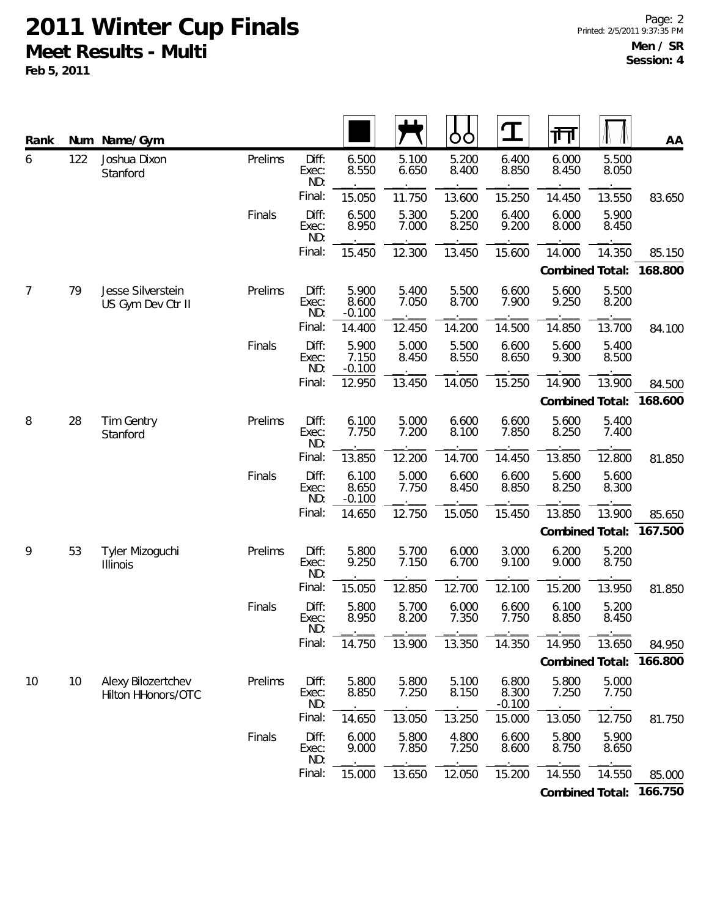| Rank           |     | Num Name/Gym                             |         |                       |                            |                | ŌŌ             | $\mathbf T$                | गा              |                | AA      |
|----------------|-----|------------------------------------------|---------|-----------------------|----------------------------|----------------|----------------|----------------------------|-----------------|----------------|---------|
| 6              | 122 | Joshua Dixon<br>Stanford                 | Prelims | Diff:<br>Exec:<br>ND: | 6.500<br>8.550             | 5.100<br>6.650 | 5.200<br>8.400 | 6.400<br>8.850             | 6.000<br>8.450  | 5.500<br>8.050 |         |
|                |     |                                          |         | Final:                | 15.050                     | 11.750         | 13.600         | 15.250                     | 14.450          | 13.550         | 83.650  |
|                |     |                                          | Finals  | Diff:<br>Exec:<br>ND: | 6.500<br>8.950             | 5.300<br>7.000 | 5.200<br>8.250 | 6.400<br>9.200             | 6.000<br>8.000  | 5.900<br>8.450 |         |
|                |     |                                          |         | Final:                | 15.450                     | 12.300         | 13.450         | 15.600                     | 14.000          | 14.350         | 85.150  |
|                |     |                                          |         |                       |                            |                |                |                            | Combined Total: |                | 168.800 |
| $\overline{7}$ | 79  | Jesse Silverstein<br>US Gym Dev Ctr II   | Prelims | Diff:<br>Exec:<br>ND: | 5.900<br>8.600<br>$-0.100$ | 5.400<br>7.050 | 5.500<br>8.700 | 6.600<br>7.900             | 5.600<br>9.250  | 5.500<br>8.200 |         |
|                |     |                                          |         | Final:                | 14.400                     | 12.450         | 14.200         | 14.500                     | 14.850          | 13.700         | 84.100  |
|                |     |                                          | Finals  | Diff:<br>Exec:<br>ND: | 5.900<br>7.150<br>$-0.100$ | 5.000<br>8.450 | 5.500<br>8.550 | 6.600<br>8.650             | 5.600<br>9.300  | 5.400<br>8.500 |         |
|                |     |                                          |         | Final:                | 12.950                     | 13.450         | 14.050         | 15.250                     | 14.900          | 13.900         | 84.500  |
|                |     |                                          |         |                       |                            |                |                |                            | Combined Total: |                | 168.600 |
| 8              | 28  | Tim Gentry<br>Stanford                   | Prelims | Diff:<br>Exec:<br>ND: | 6.100<br>7.750             | 5.000<br>7.200 | 6.600<br>8.100 | 6.600<br>7.850             | 5.600<br>8.250  | 5.400<br>7.400 |         |
|                |     |                                          |         | Final:                | 13.850                     | 12.200         | 14.700         | 14.450                     | 13.850          | 12.800         | 81.850  |
|                |     |                                          | Finals  | Diff:<br>Exec:<br>ND: | 6.100<br>8.650<br>$-0.100$ | 5.000<br>7.750 | 6.600<br>8.450 | 6.600<br>8.850             | 5.600<br>8.250  | 5.600<br>8.300 |         |
|                |     |                                          |         | Final:                | 14.650                     | 12.750         | 15.050         | 15.450                     | 13.850          | 13.900         | 85.650  |
|                |     |                                          |         |                       |                            |                |                |                            | Combined Total: |                | 167.500 |
| 9              | 53  | Tyler Mizoguchi<br>Illinois              | Prelims | Diff:<br>Exec:<br>ND: | 5.800<br>9.250             | 5.700<br>7.150 | 6.000<br>6.700 | 3.000<br>9.100             | 6.200<br>9.000  | 5.200<br>8.750 |         |
|                |     |                                          |         | Final:                | 15.050                     | 12.850         | 12.700         | 12.100                     | 15.200          | 13.950         | 81.850  |
|                |     |                                          | Finals  | Diff:<br>Exec:<br>ND: | 5.800<br>8.950             | 5.700<br>8.200 | 6.000<br>7.350 | 6.600<br>7.750             | 6.100<br>8.850  | 5.200<br>8.450 |         |
|                |     |                                          |         | Final:                | 14.750                     | 13.900         | 13.350         | 14.350                     | 14.950          | 13.650         | 84.950  |
|                |     |                                          |         |                       |                            |                |                |                            | Combined Total: |                | 166.800 |
| 10             | 10  | Alexy Bilozertchev<br>Hilton HHonors/OTC | Prelims | Diff:<br>Exec:<br>ND: | 5.800<br>8.850             | 5.800<br>7.250 | 5.100<br>8.150 | 6.800<br>8.300<br>$-0.100$ | 5.800<br>7.250  | 5.000<br>7.750 |         |
|                |     |                                          |         | Final:                | 14.650                     | 13.050         | 13.250         | 15.000                     | 13.050          | 12.750         | 81.750  |
|                |     |                                          | Finals  | Diff:<br>Exec:<br>ND: | 6.000<br>9.000             | 5.800<br>7.850 | 4.800<br>7.250 | 6.600<br>8.600             | 5.800<br>8.750  | 5.900<br>8.650 |         |
|                |     |                                          |         | Final:                | 15.000                     | 13.650         | 12.050         | 15.200                     | 14.550          | 14.550         | 85.000  |
|                |     |                                          |         |                       |                            |                |                |                            | Combined Total: |                | 166.750 |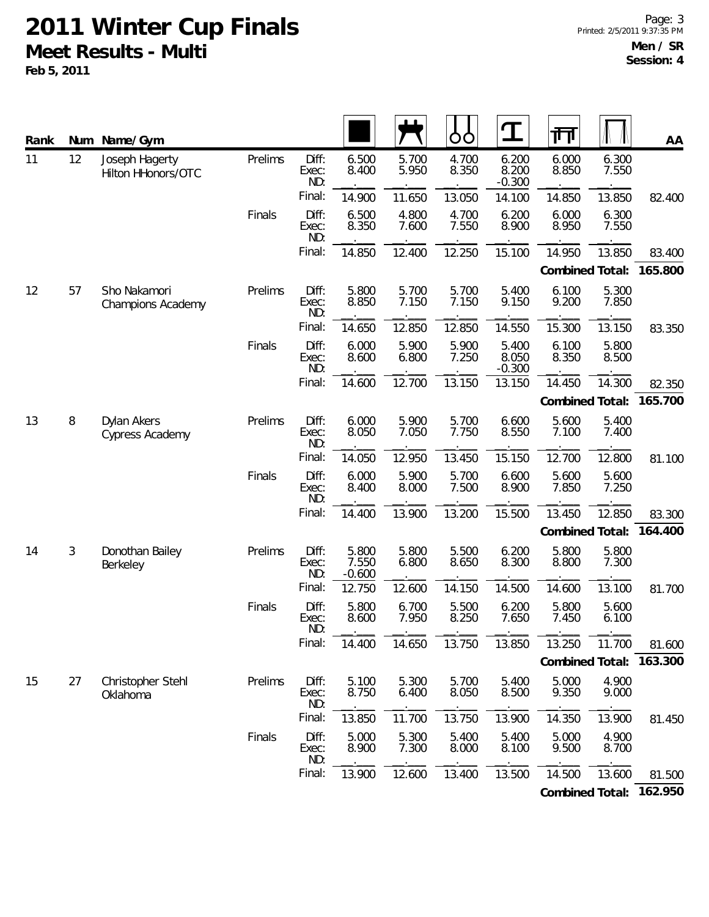**Feb 5, 2011**

| Rank | Num    | Name/Gym                                                              |                |                       |                            |                | O<br>O         | $\mathbf T$                | 帀               |                | AA        |
|------|--------|-----------------------------------------------------------------------|----------------|-----------------------|----------------------------|----------------|----------------|----------------------------|-----------------|----------------|-----------|
| 11   | 12     | Joseph Hagerty<br>Hilton HHonors/OTC                                  | Prelims        | Diff:<br>Exec:<br>ND: | 6.500<br>8.400             | 5.700<br>5.950 | 4.700<br>8.350 | 6.200<br>8.200<br>$-0.300$ | 6.000<br>8.850  | 6.300<br>7.550 |           |
|      |        |                                                                       |                | Final:                | 14.900                     | 11.650         | 13.050         | 14.100                     | 14.850          | 13.850         | 82.400    |
|      |        |                                                                       | Finals         | Diff:<br>Exec:<br>ND: | 6.500<br>8.350             | 4.800<br>7.600 | 4.700<br>7.550 | 6.200<br>8.900             | 6.000<br>8.950  | 6.300<br>7.550 |           |
|      |        |                                                                       |                | Final:                | 14.850                     | 12.400         | 12.250         | 15.100                     | 14.950          | 13.850         | 83.400    |
|      |        |                                                                       |                |                       |                            |                |                |                            | Combined Total: |                | 165.800   |
| 12   | 57     | Sho Nakamori<br><b>Champions Academy</b>                              | Prelims        | Diff:<br>Exec:<br>ND: | 5.800<br>8.850             | 5.700<br>7.150 | 5.700<br>7.150 | 5.400<br>9.150             | 6.100<br>9.200  | 5.300<br>7.850 |           |
|      |        |                                                                       |                | Final:                | 14.650                     | 12.850         | 12.850         | 14.550                     | 15.300          | 13.150         | 83.350    |
|      |        |                                                                       | Finals         | Diff:<br>Exec:<br>ND: | 6.000<br>8.600             | 5.900<br>6.800 | 5.900<br>7.250 | 5.400<br>8.050<br>$-0.300$ | 6.100<br>8.350  | 5.800<br>8.500 |           |
|      |        |                                                                       |                | Final:                | 14.600                     | 12.700         | 13.150         | 13.150                     | 14.450          | 14.300         | 82.350    |
|      |        |                                                                       |                |                       |                            |                |                |                            | Combined Total: |                | 165.700   |
| 13   | $\, 8$ | Dylan Akers<br>Cypress Academy                                        | Prelims        | Diff:<br>Exec:<br>ND: | 6.000<br>8.050             | 5.900<br>7.050 | 5.700<br>7.750 | 6.600<br>8.550             | 5.600<br>7.100  | 5.400<br>7.400 |           |
|      |        |                                                                       |                | Final:                | 14.050                     | 12.950         | 13.450         | 15.150                     | 12.700          | 12.800         | 81.100    |
|      |        | Finals<br>Diff:<br>6.000<br>8.400<br>Exec:<br>ND:<br>Final:<br>14.400 | 5.900<br>8.000 | 5.700<br>7.500        | 6.600<br>8.900             | 5.600<br>7.850 | 5.600<br>7.250 |                            |                 |                |           |
|      |        |                                                                       |                |                       |                            | 13.900         | 13.200         | 15.500                     | 13.450          | 12.850         | 83.300    |
|      |        |                                                                       |                |                       |                            |                |                |                            | Combined Total: |                | 164.400   |
| 14   | 3      | Donothan Bailey<br>Berkeley                                           | Prelims        | Diff:<br>Exec:<br>ND: | 5.800<br>7.550<br>$-0.600$ | 5.800<br>6.800 | 5.500<br>8.650 | 6.200<br>8.300             | 5.800<br>8.800  | 5.800<br>7.300 |           |
|      |        |                                                                       |                | Final:                | 12.750                     | 12.600         | 14.150         | 14.500                     | 14.600          | 13.100         | 81.700    |
|      |        |                                                                       | Finals         | Diff:<br>Exec:<br>ND: | 5.800<br>8.600             | 6.700<br>7.950 | 5.500<br>8.250 | 6.200<br>7.650             | 5.800<br>7.450  | 5.600<br>6.100 |           |
|      |        |                                                                       |                | Final:                | 14.400                     | 14.650         | 13.750         | 13.850                     | 13.250          | 11.700         | 81.600    |
|      |        |                                                                       |                |                       |                            |                |                |                            | Combined Total: |                | 163.300   |
| 15   | 27     | Christopher Stehl<br>Oklahoma                                         | Prelims        | Diff:<br>Exec:<br>ND: | 5.100<br>8.750             | 5.300<br>6.400 | 5.700<br>8.050 | 5.400<br>8.500             | 5.000<br>9.350  | 4.900<br>9.000 |           |
|      |        |                                                                       |                | Final:                | 13.850                     | 11.700         | 13.750         | 13.900                     | 14.350          | 13.900         | 81.450    |
|      |        |                                                                       | Finals         | Diff:<br>Exec:<br>ND: | 5.000<br>8.900             | 5.300<br>7.300 | 5.400<br>8.000 | 5.400<br>8.100             | 5.000<br>9.500  | 4.900<br>8.700 |           |
|      |        |                                                                       |                | Final:                | 13.900                     | 12.600         | 13.400         | 13.500                     | 14.500          | 13.600         | 81.500    |
|      |        |                                                                       |                |                       |                            |                |                |                            |                 |                | $1/2$ OFO |

**Combined Total: 162.950**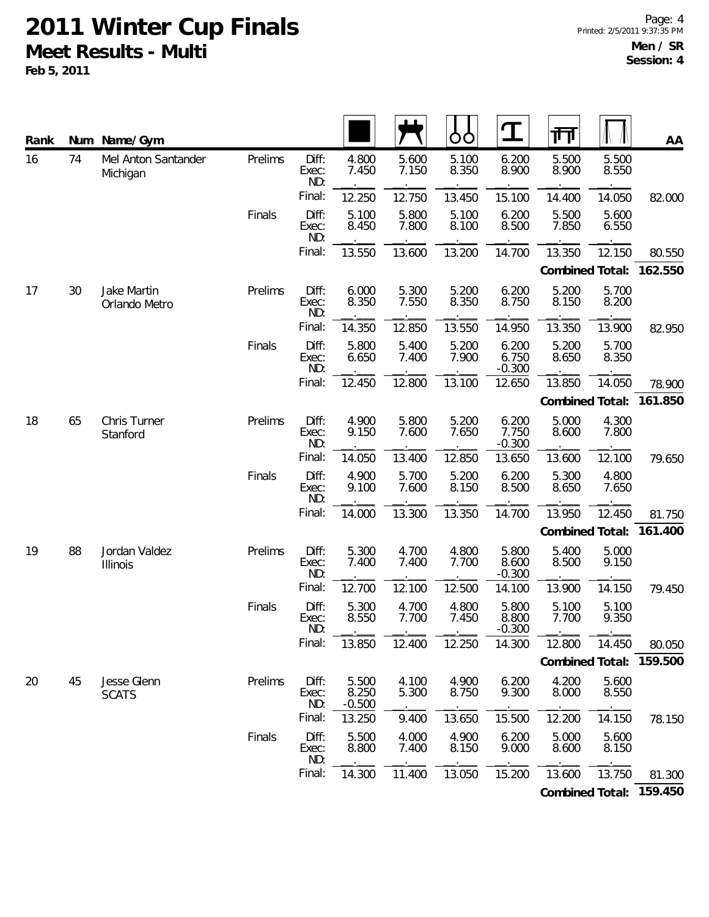| Rank | Num | Name/Gym                        |         |                       |                            |                | O<br>O         | $\mathbf T$                | 帀               |                | AA      |
|------|-----|---------------------------------|---------|-----------------------|----------------------------|----------------|----------------|----------------------------|-----------------|----------------|---------|
| 16   | 74  | Mel Anton Santander<br>Michigan | Prelims | Diff:<br>Exec:<br>ND: | 4.800<br>7.450             | 5.600<br>7.150 | 5.100<br>8.350 | 6.200<br>8.900             | 5.500<br>8.900  | 5.500<br>8.550 |         |
|      |     |                                 |         | Final:                | 12.250                     | 12.750         | 13.450         | 15.100                     | 14.400          | 14.050         | 82.000  |
|      |     |                                 | Finals  | Diff:<br>Exec:<br>ND: | 5.100<br>8.450             | 5.800<br>7.800 | 5.100<br>8.100 | 6.200<br>8.500             | 5.500<br>7.850  | 5.600<br>6.550 |         |
|      |     |                                 |         | Final:                | 13.550                     | 13.600         | 13.200         | 14.700                     | 13.350          | 12.150         | 80.550  |
|      |     |                                 |         |                       |                            |                |                |                            | Combined Total: |                | 162.550 |
| 17   | 30  | Jake Martin<br>Orlando Metro    | Prelims | Diff:<br>Exec:<br>ND: | 6.000<br>8.350             | 5.300<br>7.550 | 5.200<br>8.350 | 6.200<br>8.750             | 5.200<br>8.150  | 5.700<br>8.200 |         |
|      |     |                                 |         | Final:                | 14.350                     | 12.850         | 13.550         | 14.950                     | 13.350          | 13.900         | 82.950  |
|      |     |                                 | Finals  | Diff:<br>Exec:<br>ND: | 5.800<br>6.650             | 5.400<br>7.400 | 5.200<br>7.900 | 6.200<br>6.750<br>$-0.300$ | 5.200<br>8.650  | 5.700<br>8.350 |         |
|      |     |                                 |         | Final:                | 12.450                     | 12.800         | 13.100         | 12.650                     | 13.850          | 14.050         | 78.900  |
|      |     |                                 |         |                       |                            |                |                |                            | Combined Total: |                | 161.850 |
| 18   | 65  | Chris Turner<br>Stanford        | Prelims | Diff:<br>Exec:<br>ND: | 4.900<br>9.150             | 5.800<br>7.600 | 5.200<br>7.650 | 6.200<br>7.750<br>$-0.300$ | 5.000<br>8.600  | 4.300<br>7.800 |         |
|      |     |                                 |         | Final:                | 14.050                     | 13.400         | 12.850         | 13.650                     | 13.600          | 12.100         | 79.650  |
|      |     |                                 | Finals  | Diff:<br>Exec:<br>ND: | 4.900<br>9.100             | 5.700<br>7.600 | 5.200<br>8.150 | 6.200<br>8.500             | 5.300<br>8.650  | 4.800<br>7.650 |         |
|      |     |                                 |         | Final:                | 14.000                     | 13.300         | 13.350         | 14.700                     | 13.950          | 12.450         | 81.750  |
|      |     |                                 |         |                       |                            |                |                |                            | Combined Total: |                | 161.400 |
| 19   | 88  | Jordan Valdez<br>Illinois       | Prelims | Diff:<br>Exec:<br>ND: | 5.300<br>7.400             | 4.700<br>7.400 | 4.800<br>7.700 | 5.800<br>8.600<br>$-0.300$ | 5.400<br>8.500  | 5.000<br>9.150 |         |
|      |     |                                 |         | Final:                | 12.700                     | 12.100         | 12.500         | 14.100                     | 13.900          | 14.150         | 79.450  |
|      |     |                                 | Finals  | Diff:<br>Exec:<br>ND: | 5.300<br>8.550             | 4.700<br>7.700 | 4.800<br>7.450 | 5.800<br>8.800<br>$-0.300$ | 5.100<br>7.700  | 5.100<br>9.350 |         |
|      |     |                                 |         | Final:                | 13.850                     | 12.400         | 12.250         | 14.300                     | 12.800          | 14.450         | 80.050  |
|      |     |                                 |         |                       |                            |                |                |                            | Combined Total: |                | 159.500 |
| 20   | 45  | Jesse Glenn<br><b>SCATS</b>     | Prelims | Diff:<br>Exec:<br>ND: | 5.500<br>8.250<br>$-0.500$ | 4.100<br>5.300 | 4.900<br>8.750 | 6.200<br>9.300             | 4.200<br>8.000  | 5.600<br>8.550 |         |
|      |     |                                 |         | Final:                | 13.250                     | 9.400          | 13.650         | 15.500                     | 12.200          | 14.150         | 78.150  |
|      |     |                                 | Finals  | Diff:<br>Exec:<br>ND: | 5.500<br>8.800             | 4.000<br>7.400 | 4.900<br>8.150 | 6.200<br>9.000             | 5.000<br>8.600  | 5.600<br>8.150 |         |
|      |     |                                 |         | Final:                | 14.300                     | 11.400         | 13.050         | 15.200                     | 13.600          | 13.750         | 81.300  |
|      |     |                                 |         |                       |                            |                |                |                            | Combined Total: |                | 159.450 |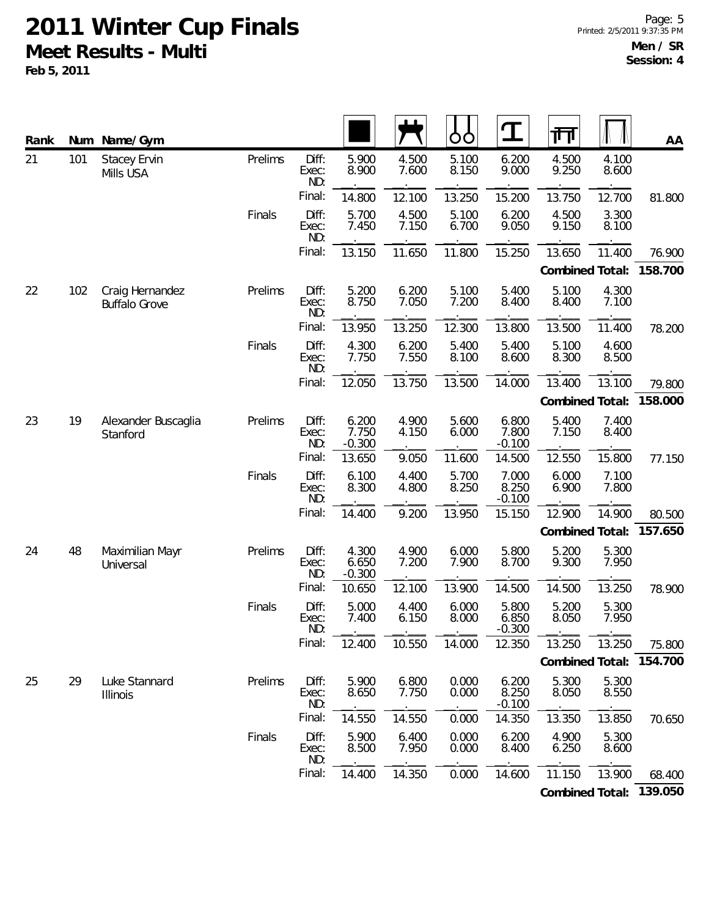| Rank | Num | Name/Gym                                |         |                       |                            |                | Ò<br>O         | $\mathbf T$                | ग्ग             |                | AA      |
|------|-----|-----------------------------------------|---------|-----------------------|----------------------------|----------------|----------------|----------------------------|-----------------|----------------|---------|
| 21   | 101 | <b>Stacey Ervin</b><br>Mills USA        | Prelims | Diff:<br>Exec:<br>ND: | 5.900<br>8.900             | 4.500<br>7.600 | 5.100<br>8.150 | 6.200<br>9.000             | 4.500<br>9.250  | 4.100<br>8.600 |         |
|      |     |                                         |         | Final:                | 14.800                     | 12.100         | 13.250         | 15.200                     | 13.750          | 12.700         | 81.800  |
|      |     |                                         | Finals  | Diff:<br>Exec:<br>ND: | 5.700<br>7.450             | 4.500<br>7.150 | 5.100<br>6.700 | 6.200<br>9.050             | 4.500<br>9.150  | 3.300<br>8.100 |         |
|      |     |                                         |         | Final:                | 13.150                     | 11.650         | 11.800         | 15.250                     | 13.650          | 11.400         | 76.900  |
|      |     |                                         |         |                       |                            |                |                |                            | Combined Total: |                | 158.700 |
| 22   | 102 | Craig Hernandez<br><b>Buffalo Grove</b> | Prelims | Diff:<br>Exec:<br>ND: | 5.200<br>8.750             | 6.200<br>7.050 | 5.100<br>7.200 | 5.400<br>8.400             | 5.100<br>8.400  | 4.300<br>7.100 |         |
|      |     |                                         |         | Final:                | 13.950                     | 13.250         | 12.300         | 13.800                     | 13.500          | 11.400         | 78.200  |
|      |     |                                         | Finals  | Diff:<br>Exec:<br>ND: | 4.300<br>7.750             | 6.200<br>7.550 | 5.400<br>8.100 | 5.400<br>8.600             | 5.100<br>8.300  | 4.600<br>8.500 |         |
|      |     |                                         |         | Final:                | 12.050                     | 13.750         | 13.500         | 14.000                     | 13.400          | 13.100         | 79.800  |
|      |     |                                         |         |                       |                            |                |                |                            | Combined Total: |                | 158.000 |
| 23   | 19  | Alexander Buscaglia<br>Stanford         | Prelims | Diff:<br>Exec:<br>ND: | 6.200<br>7.750<br>$-0.300$ | 4.900<br>4.150 | 5.600<br>6.000 | 6.800<br>7.800<br>$-0.100$ | 5.400<br>7.150  | 7.400<br>8.400 |         |
|      |     |                                         |         | Final:                | 13.650                     | 9.050          | 11.600         | 14.500                     | 12.550          | 15.800         | 77.150  |
|      |     |                                         | Finals  | Diff:<br>Exec:<br>ND: | 6.100<br>8.300             | 4.400<br>4.800 | 5.700<br>8.250 | 7.000<br>8.250<br>$-0.100$ | 6.000<br>6.900  | 7.100<br>7.800 |         |
|      |     |                                         |         | Final:                | 14.400                     | 9.200          | 13.950         | 15.150                     | 12.900          | 14.900         | 80.500  |
|      |     |                                         |         |                       |                            |                |                |                            | Combined Total: |                | 157.650 |
| 24   | 48  | Maximilian Mayr<br>Universal            | Prelims | Diff:<br>Exec:<br>ND: | 4.300<br>6.650<br>$-0.300$ | 4.900<br>7.200 | 6.000<br>7.900 | 5.800<br>8.700             | 5.200<br>9.300  | 5.300<br>7.950 |         |
|      |     |                                         |         | Final:                | 10.650                     | 12.100         | 13.900         | 14.500                     | 14.500          | 13.250         | 78.900  |
|      |     |                                         | Finals  | Diff:<br>Exec:<br>ND: | 5.000<br>7.400             | 4.400<br>6.150 | 6.000<br>8.000 | 5.800<br>6.850<br>$-0.300$ | 5.200<br>8.050  | 5.300<br>7.950 |         |
|      |     |                                         |         | Final:                | 12.400                     | 10.550         | 14.000         | 12.350                     | 13.250          | 13.250         | 75.800  |
|      |     |                                         |         |                       |                            |                |                |                            | Combined Total: |                | 154.700 |
| 25   | 29  | Luke Stannard<br>Illinois               | Prelims | Diff:<br>Exec:<br>ND: | 5.900<br>8.650             | 6.800<br>7.750 | 0.000<br>0.000 | 6.200<br>8.250<br>$-0.100$ | 5.300<br>8.050  | 5.300<br>8.550 |         |
|      |     |                                         |         | Final:                | 14.550                     | 14.550         | 0.000          | 14.350                     | 13.350          | 13.850         | 70.650  |
|      |     |                                         | Finals  | Diff:<br>Exec:<br>ND: | 5.900<br>8.500             | 6.400<br>7.950 | 0.000<br>0.000 | 6.200<br>8.400             | 4.900<br>6.250  | 5.300<br>8.600 |         |
|      |     |                                         |         | Final:                | 14.400                     | 14.350         | 0.000          | 14.600                     | 11.150          | 13.900         | 68.400  |
|      |     |                                         |         |                       |                            |                |                |                            | Combined Total: |                | 139.050 |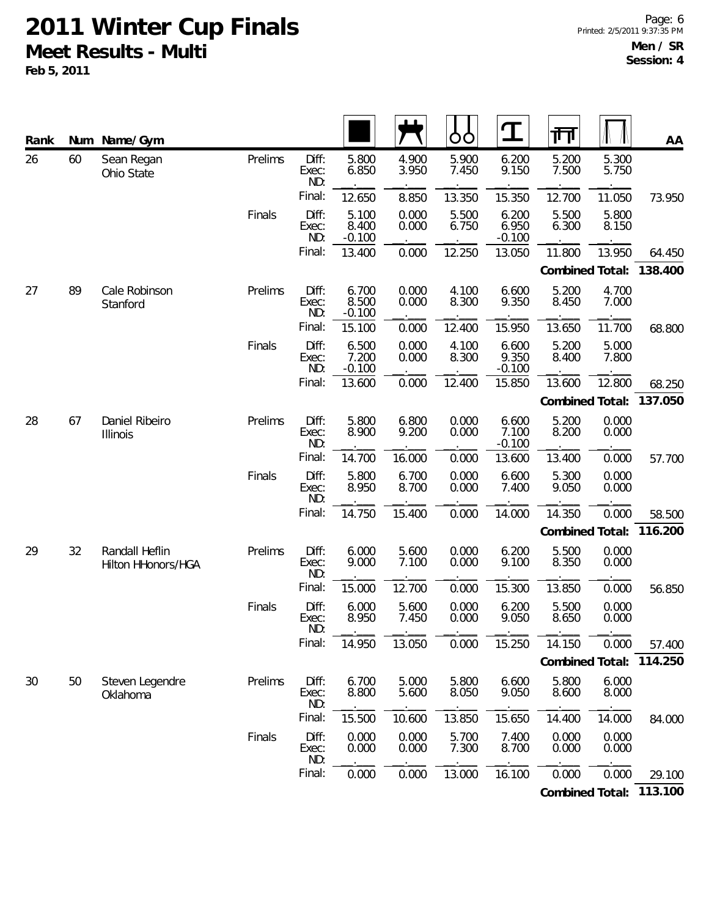| Rank | Num | Name/Gym                             |         |                       |                            |                | O<br>O         | $\mathbf T$                | गा              |                | AA      |
|------|-----|--------------------------------------|---------|-----------------------|----------------------------|----------------|----------------|----------------------------|-----------------|----------------|---------|
| 26   | 60  | Sean Regan<br>Ohio State             | Prelims | Diff:<br>Exec:<br>ND: | 5.800<br>6.850             | 4.900<br>3.950 | 5.900<br>7.450 | 6.200<br>9.150             | 5.200<br>7.500  | 5.300<br>5.750 |         |
|      |     |                                      |         | Final:                | 12.650                     | 8.850          | 13.350         | 15.350                     | 12.700          | 11.050         | 73.950  |
|      |     |                                      | Finals  | Diff:<br>Exec:<br>ND: | 5.100<br>8.400<br>$-0.100$ | 0.000<br>0.000 | 5.500<br>6.750 | 6.200<br>6.950<br>$-0.100$ | 5.500<br>6.300  | 5.800<br>8.150 |         |
|      |     |                                      |         | Final:                | 13.400                     | 0.000          | 12.250         | 13.050                     | 11.800          | 13.950         | 64.450  |
|      |     |                                      |         |                       |                            |                |                |                            | Combined Total: |                | 138.400 |
| 27   | 89  | Cale Robinson<br>Stanford            | Prelims | Diff:<br>Exec:<br>ND: | 6.700<br>8.500<br>$-0.100$ | 0.000<br>0.000 | 4.100<br>8.300 | 6.600<br>9.350             | 5.200<br>8.450  | 4.700<br>7.000 |         |
|      |     |                                      |         | Final:                | 15.100                     | 0.000          | 12.400         | 15.950                     | 13.650          | 11.700         | 68.800  |
|      |     |                                      | Finals  | Diff:<br>Exec:<br>ND: | 6.500<br>7.200<br>$-0.100$ | 0.000<br>0.000 | 4.100<br>8.300 | 6.600<br>9.350<br>$-0.100$ | 5.200<br>8.400  | 5.000<br>7.800 |         |
|      |     |                                      |         | Final:                | 13.600                     | 0.000          | 12.400         | 15.850                     | 13.600          | 12.800         | 68.250  |
|      |     |                                      |         |                       |                            |                |                |                            | Combined Total: |                | 137.050 |
| 28   | 67  | Daniel Ribeiro<br>Illinois           | Prelims | Diff:<br>Exec:<br>ND: | 5.800<br>8.900             | 6.800<br>9.200 | 0.000<br>0.000 | 6.600<br>7.100<br>$-0.100$ | 5.200<br>8.200  | 0.000<br>0.000 |         |
|      |     |                                      |         | Final:                | 14.700                     | 16.000         | 0.000          | 13.600                     | 13.400          | 0.000          | 57.700  |
|      |     |                                      | Finals  | Diff:<br>Exec:<br>ND: | 5.800<br>8.950             | 6.700<br>8.700 | 0.000<br>0.000 | 6.600<br>7.400             | 5.300<br>9.050  | 0.000<br>0.000 |         |
|      |     |                                      |         | Final:                | 14.750                     | 15.400         | 0.000          | 14.000                     | 14.350          | 0.000          | 58.500  |
|      |     |                                      |         |                       |                            |                |                |                            | Combined Total: |                | 116.200 |
| 29   | 32  | Randall Heflin<br>Hilton HHonors/HGA | Prelims | Diff:<br>Exec:<br>ND: | 6.000<br>9.000             | 5.600<br>7.100 | 0.000<br>0.000 | 6.200<br>9.100             | 5.500<br>8.350  | 0.000<br>0.000 |         |
|      |     |                                      |         | Final:                | 15.000                     | 12.700         | 0.000          | 15.300                     | 13.850          | 0.000          | 56.850  |
|      |     |                                      | Finals  | Diff:<br>Exec:<br>ND: | 6.000<br>8.950             | 5.600<br>7.450 | 0.000<br>0.000 | 6.200<br>9.050             | 5.500<br>8.650  | 0.000<br>0.000 |         |
|      |     |                                      |         | Final:                | 14.950                     | 13.050         | 0.000          | 15.250                     | 14.150          | 0.000          | 57.400  |
|      |     |                                      |         |                       |                            |                |                |                            | Combined Total: |                | 114.250 |
| 30   | 50  | Steven Legendre<br>Oklahoma          | Prelims | Diff:<br>Exec:<br>ND: | 6.700<br>8.800             | 5.000<br>5.600 | 5.800<br>8.050 | 6.600<br>9.050             | 5.800<br>8.600  | 6.000<br>8.000 |         |
|      |     |                                      |         | Final:                | 15.500                     | 10.600         | 13.850         | 15.650                     | 14.400          | 14.000         | 84.000  |
|      |     |                                      | Finals  | Diff:<br>Exec:<br>ND: | 0.000<br>0.000             | 0.000<br>0.000 | 5.700<br>7.300 | 7.400<br>8.700             | 0.000<br>0.000  | 0.000<br>0.000 |         |
|      |     |                                      |         | Final:                | 0.000                      | 0.000          | 13.000         | 16.100                     | 0.000           | 0.000          | 29.100  |
|      |     |                                      |         |                       |                            |                |                |                            | Combined Total: |                | 113.100 |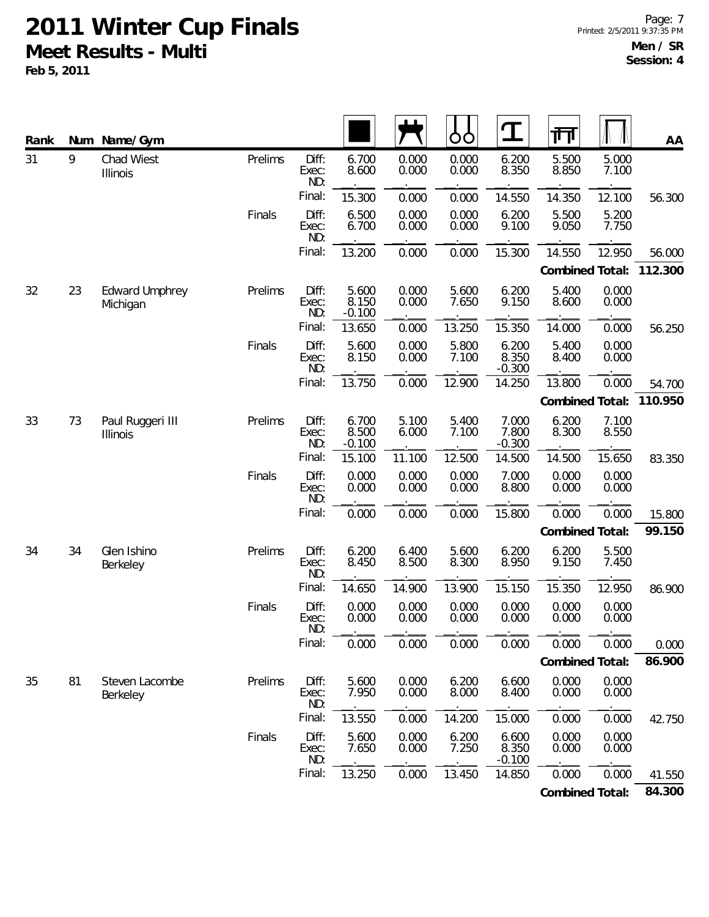| Rank | Num | Name/Gym                          |         |                       |                            |                | Ò<br>O         | $\mathbf T$                | 帀               |                | AA      |
|------|-----|-----------------------------------|---------|-----------------------|----------------------------|----------------|----------------|----------------------------|-----------------|----------------|---------|
| 31   | 9   | Chad Wiest<br>Illinois            | Prelims | Diff:<br>Exec:<br>ND: | 6.700<br>8.600             | 0.000<br>0.000 | 0.000<br>0.000 | 6.200<br>8.350             | 5.500<br>8.850  | 5.000<br>7.100 |         |
|      |     |                                   |         | Final:                | 15.300                     | 0.000          | 0.000          | 14.550                     | 14.350          | 12.100         | 56.300  |
|      |     |                                   | Finals  | Diff:<br>Exec:<br>ND: | 6.500<br>6.700             | 0.000<br>0.000 | 0.000<br>0.000 | 6.200<br>9.100             | 5.500<br>9.050  | 5.200<br>7.750 |         |
|      |     |                                   |         | Final:                | 13.200                     | 0.000          | 0.000          | 15.300                     | 14.550          | 12.950         | 56.000  |
|      |     |                                   |         |                       |                            |                |                |                            | Combined Total: |                | 112.300 |
| 32   | 23  | <b>Edward Umphrey</b><br>Michigan | Prelims | Diff:<br>Exec:<br>ND: | 5.600<br>8.150<br>$-0.100$ | 0.000<br>0.000 | 5.600<br>7.650 | 6.200<br>9.150             | 5.400<br>8.600  | 0.000<br>0.000 |         |
|      |     |                                   |         | Final:                | 13.650                     | 0.000          | 13.250         | 15.350                     | 14.000          | 0.000          | 56.250  |
|      |     |                                   | Finals  | Diff:<br>Exec:<br>ND: | 5.600<br>8.150             | 0.000<br>0.000 | 5.800<br>7.100 | 6.200<br>8.350<br>$-0.300$ | 5.400<br>8.400  | 0.000<br>0.000 |         |
|      |     |                                   |         | Final:                | 13.750                     | 0.000          | 12.900         | 14.250                     | 13.800          | 0.000          | 54.700  |
|      |     |                                   |         |                       |                            |                |                |                            | Combined Total: |                | 110.950 |
| 33   | 73  | Paul Ruggeri III<br>Illinois      | Prelims | Diff:<br>Exec:<br>ND: | 6.700<br>8.500<br>$-0.100$ | 5.100<br>6.000 | 5.400<br>7.100 | 7.000<br>7.800<br>$-0.300$ | 6.200<br>8.300  | 7.100<br>8.550 |         |
|      |     |                                   |         | Final:                | 15.100                     | 11.100         | 12.500         | 14.500                     | 14.500          | 15.650         | 83.350  |
|      |     |                                   | Finals  | Diff:<br>Exec:<br>ND: | 0.000<br>0.000             | 0.000<br>0.000 | 0.000<br>0.000 | 7.000<br>8.800             | 0.000<br>0.000  | 0.000<br>0.000 |         |
|      |     |                                   |         | Final:                | 0.000                      | 0.000          | 0.000          | 15.800                     | 0.000           | 0.000          | 15.800  |
|      |     |                                   |         |                       |                            |                |                |                            | Combined Total: |                | 99.150  |
| 34   | 34  | Glen Ishino<br>Berkeley           | Prelims | Diff:<br>Exec:<br>ND: | 6.200<br>8.450             | 6.400<br>8.500 | 5.600<br>8.300 | 6.200<br>8.950             | 6.200<br>9.150  | 5.500<br>7.450 |         |
|      |     |                                   |         | Final:                | 14.650                     | 14.900         | 13.900         | 15.150                     | 15.350          | 12.950         | 86.900  |
|      |     | Finals                            |         | Diff:<br>Exec:<br>ND: | 0.000<br>0.000             | 0.000<br>0.000 | 0.000<br>0.000 | 0.000<br>0.000             | 0.000<br>0.000  | 0.000<br>0.000 |         |
|      |     |                                   |         | Final:                | 0.000                      | 0.000          | 0.000          | 0.000                      | 0.000           | 0.000          | 0.000   |
|      |     |                                   |         |                       |                            |                |                |                            | Combined Total: |                | 86.900  |
| 35   | 81  | Steven Lacombe<br>Berkeley        | Prelims | Diff:<br>Exec:<br>ND: | 5.600<br>7.950             | 0.000<br>0.000 | 6.200<br>8.000 | 6.600<br>8.400             | 0.000<br>0.000  | 0.000<br>0.000 |         |
|      |     |                                   |         | Final:                | 13.550                     | 0.000          | 14.200         | 15.000                     | 0.000           | 0.000          | 42.750  |
|      |     |                                   | Finals  | Diff:<br>Exec:<br>ND: | 5.600<br>7.650             | 0.000<br>0.000 | 6.200<br>7.250 | 6.600<br>8.350<br>$-0.100$ | 0.000<br>0.000  | 0.000<br>0.000 |         |
|      |     |                                   |         | Final:                | 13.250                     | 0.000          | 13.450         | 14.850                     | 0.000           | 0.000          | 41.550  |
|      |     |                                   |         |                       |                            |                |                |                            | Combined Total: |                | 84.300  |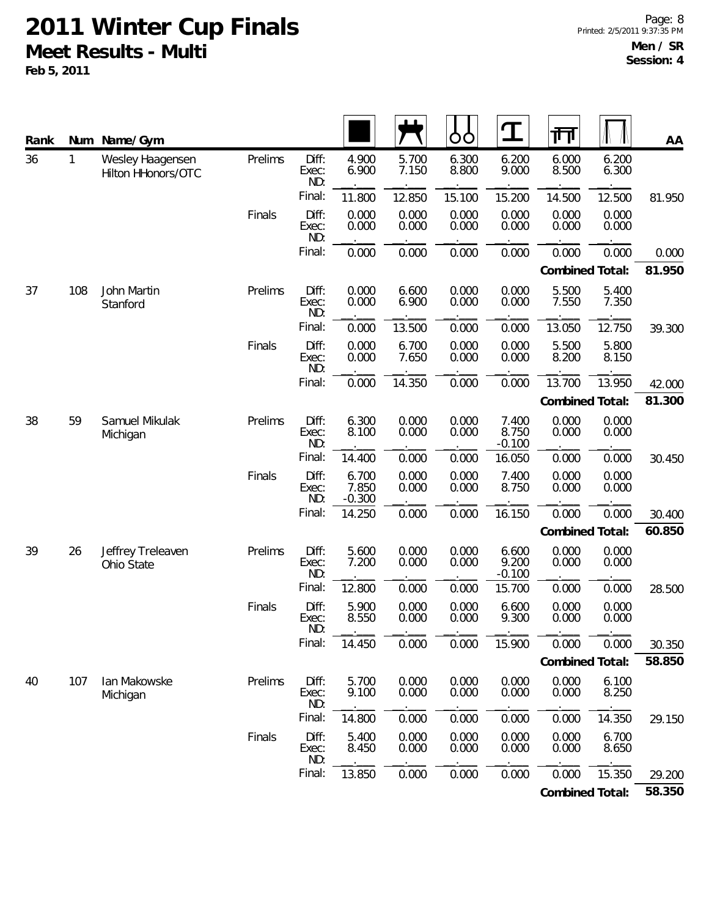| Rank |              | Num Name/Gym                           |         |                       |                            |                | O<br>O         | $\mathbf T$                | 帀               |                 | AA     |        |
|------|--------------|----------------------------------------|---------|-----------------------|----------------------------|----------------|----------------|----------------------------|-----------------|-----------------|--------|--------|
| 36   | $\mathbf{1}$ | Wesley Haagensen<br>Hilton HHonors/OTC | Prelims | Diff:<br>Exec:<br>ND: | 4.900<br>6.900             | 5.700<br>7.150 | 6.300<br>8.800 | 6.200<br>9.000             | 6.000<br>8.500  | 6.200<br>6.300  |        |        |
|      |              |                                        |         | Final:                | 11.800                     | 12.850         | 15.100         | 15.200                     | 14.500          | 12.500          | 81.950 |        |
|      |              |                                        | Finals  | Diff:<br>Exec:<br>ND: | 0.000<br>0.000             | 0.000<br>0.000 | 0.000<br>0.000 | 0.000<br>0.000             | 0.000<br>0.000  | 0.000<br>0.000  |        |        |
|      |              |                                        |         | Final:                | 0.000                      | 0.000          | 0.000          | 0.000                      | 0.000           | 0.000           | 0.000  |        |
|      |              |                                        |         |                       |                            |                |                |                            | Combined Total: |                 | 81.950 |        |
| 37   | 108          | John Martin<br>Stanford                | Prelims | Diff:<br>Exec:<br>ND: | 0.000<br>0.000             | 6.600<br>6.900 | 0.000<br>0.000 | 0.000<br>0.000             | 5.500<br>7.550  | 5.400<br>7.350  |        |        |
|      |              |                                        |         | Final:                | 0.000                      | 13.500         | 0.000          | 0.000                      | 13.050          | 12.750          | 39.300 |        |
|      |              |                                        | Finals  | Diff:<br>Exec:<br>ND: | 0.000<br>0.000             | 6.700<br>7.650 | 0.000<br>0.000 | 0.000<br>0.000             | 5.500<br>8.200  | 5.800<br>8.150  |        |        |
|      |              |                                        |         | Final:                | 0.000                      | 14.350         | 0.000          | 0.000                      | 13.700          | 13.950          | 42.000 |        |
|      |              |                                        |         |                       |                            |                |                |                            |                 | Combined Total: |        | 81.300 |
| 38   | 59           | Samuel Mikulak<br>Michigan             | Prelims | Diff:<br>Exec:<br>ND: | 6.300<br>8.100             | 0.000<br>0.000 | 0.000<br>0.000 | 7.400<br>8.750<br>$-0.100$ | 0.000<br>0.000  | 0.000<br>0.000  |        |        |
|      |              |                                        |         | Final:                | 14.400                     | 0.000          | 0.000          | 16.050                     | 0.000           | 0.000           | 30.450 |        |
|      |              |                                        | Finals  | Diff:<br>Exec:<br>ND: | 6.700<br>7.850<br>$-0.300$ | 0.000<br>0.000 | 0.000<br>0.000 | 7.400<br>8.750             | 0.000<br>0.000  | 0.000<br>0.000  |        |        |
|      |              |                                        |         | Final:                | 14.250                     | 0.000          | 0.000          | 16.150                     | 0.000           | 0.000           | 30.400 |        |
|      |              |                                        |         |                       |                            |                |                |                            | Combined Total: |                 | 60.850 |        |
| 39   | 26           | Jeffrey Treleaven<br>Ohio State        | Prelims | Diff:<br>Exec:<br>ND: | 5.600<br>7.200             | 0.000<br>0.000 | 0.000<br>0.000 | 6.600<br>9.200<br>$-0.100$ | 0.000<br>0.000  | 0.000<br>0.000  |        |        |
|      |              |                                        |         | Final:                | 12.800                     | 0.000          | 0.000          | 15.700                     | 0.000           | 0.000           | 28.500 |        |
|      |              |                                        | Finals  | Diff:<br>Exec:<br>ND: | 5.900<br>8.550             | 0.000<br>0.000 | 0.000<br>0.000 | 6.600<br>9.300             | 0.000<br>0.000  | 0.000<br>0.000  |        |        |
|      |              |                                        |         | Final:                | 14.450                     | 0.000          | 0.000          | 15.900                     | 0.000           | 0.000           | 30.350 |        |
|      |              |                                        |         |                       |                            |                |                |                            | Combined Total: |                 | 58.850 |        |
| 40   | 107          | Ian Makowske<br>Michigan               | Prelims | Diff:<br>Exec:<br>ND: | 5.700<br>9.100             | 0.000<br>0.000 | 0.000<br>0.000 | 0.000<br>0.000             | 0.000<br>0.000  | 6.100<br>8.250  |        |        |
|      |              |                                        |         | Final:                | 14.800                     | 0.000          | 0.000          | 0.000                      | 0.000           | 14.350          | 29.150 |        |
|      |              |                                        | Finals  | Diff:<br>Exec:<br>ND: | 5.400<br>8.450             | 0.000<br>0.000 | 0.000<br>0.000 | 0.000<br>0.000             | 0.000<br>0.000  | 6.700<br>8.650  |        |        |
|      |              |                                        |         | Final:                | 13.850                     | 0.000          | 0.000          | 0.000                      | 0.000           | 15.350          | 29.200 |        |
|      |              |                                        |         |                       |                            |                |                |                            | Combined Total: |                 | 58.350 |        |